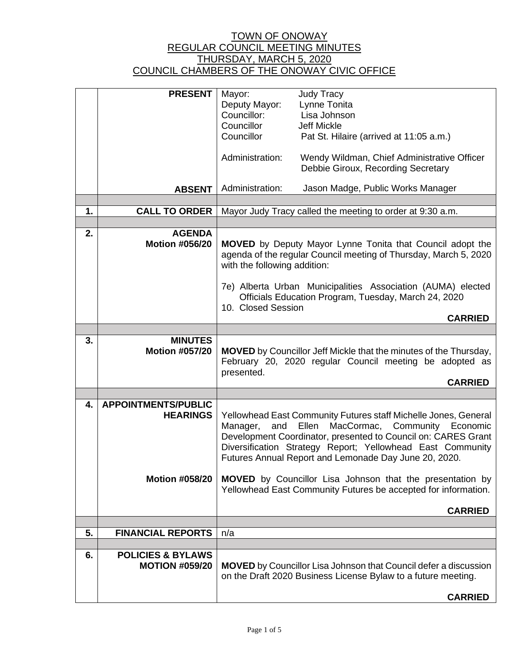|    | <b>PRESENT</b>                                | Mayor:<br>Deputy Mayor:<br>Councillor:<br>Councillor                                                                                                                                                                                                                                                              | <b>Judy Tracy</b><br>Lynne Tonita<br>Lisa Johnson<br><b>Jeff Mickle</b>           |  |
|----|-----------------------------------------------|-------------------------------------------------------------------------------------------------------------------------------------------------------------------------------------------------------------------------------------------------------------------------------------------------------------------|-----------------------------------------------------------------------------------|--|
|    |                                               | Councillor                                                                                                                                                                                                                                                                                                        | Pat St. Hilaire (arrived at 11:05 a.m.)                                           |  |
|    |                                               | Administration:                                                                                                                                                                                                                                                                                                   | Wendy Wildman, Chief Administrative Officer<br>Debbie Giroux, Recording Secretary |  |
|    | <b>ABSENT</b>                                 | Administration:                                                                                                                                                                                                                                                                                                   | Jason Madge, Public Works Manager                                                 |  |
| 1. | <b>CALL TO ORDER</b>                          |                                                                                                                                                                                                                                                                                                                   | Mayor Judy Tracy called the meeting to order at 9:30 a.m.                         |  |
|    |                                               |                                                                                                                                                                                                                                                                                                                   |                                                                                   |  |
| 2. | <b>AGENDA</b><br><b>Motion #056/20</b>        | <b>MOVED</b> by Deputy Mayor Lynne Tonita that Council adopt the<br>agenda of the regular Council meeting of Thursday, March 5, 2020<br>with the following addition:                                                                                                                                              |                                                                                   |  |
|    |                                               | 7e) Alberta Urban Municipalities Association (AUMA) elected<br>Officials Education Program, Tuesday, March 24, 2020<br>10. Closed Session                                                                                                                                                                         |                                                                                   |  |
|    |                                               |                                                                                                                                                                                                                                                                                                                   | <b>CARRIED</b>                                                                    |  |
| 3. | <b>MINUTES</b>                                |                                                                                                                                                                                                                                                                                                                   |                                                                                   |  |
|    | <b>Motion #057/20</b>                         | <b>MOVED</b> by Councillor Jeff Mickle that the minutes of the Thursday,<br>February 20, 2020 regular Council meeting be adopted as<br>presented.<br><b>CARRIED</b>                                                                                                                                               |                                                                                   |  |
|    |                                               |                                                                                                                                                                                                                                                                                                                   |                                                                                   |  |
| 4. | <b>APPOINTMENTS/PUBLIC</b><br><b>HEARINGS</b> | Yellowhead East Community Futures staff Michelle Jones, General<br>Ellen MacCormac, Community Economic<br>and<br>Manager,<br>Development Coordinator, presented to Council on: CARES Grant<br>Diversification Strategy Report; Yellowhead East Community<br>Futures Annual Report and Lemonade Day June 20, 2020. |                                                                                   |  |
|    | <b>Motion #058/20</b>                         | <b>MOVED</b> by Councillor Lisa Johnson that the presentation by<br>Yellowhead East Community Futures be accepted for information.                                                                                                                                                                                |                                                                                   |  |
|    |                                               |                                                                                                                                                                                                                                                                                                                   | <b>CARRIED</b>                                                                    |  |
|    |                                               |                                                                                                                                                                                                                                                                                                                   |                                                                                   |  |
| 5. | <b>FINANCIAL REPORTS</b>                      | n/a                                                                                                                                                                                                                                                                                                               |                                                                                   |  |
| 6. | <b>POLICIES &amp; BYLAWS</b>                  |                                                                                                                                                                                                                                                                                                                   |                                                                                   |  |
|    | <b>MOTION #059/20</b>                         | <b>MOVED</b> by Councillor Lisa Johnson that Council defer a discussion<br>on the Draft 2020 Business License Bylaw to a future meeting.                                                                                                                                                                          |                                                                                   |  |
|    |                                               |                                                                                                                                                                                                                                                                                                                   | <b>CARRIED</b>                                                                    |  |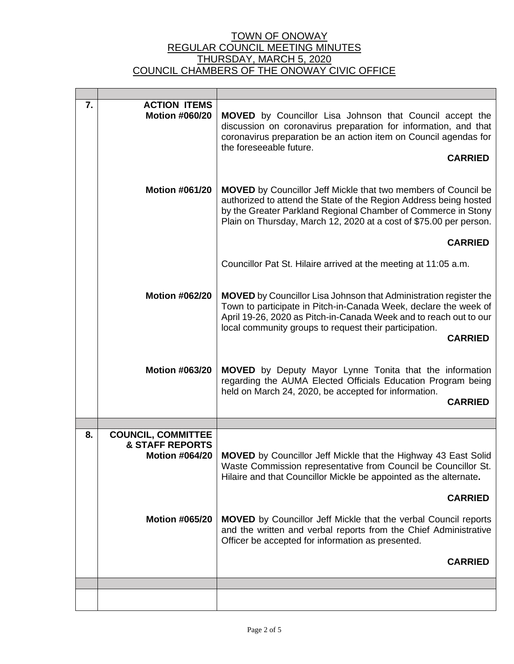| 7.                                                                                     | <b>ACTION ITEMS</b><br><b>Motion #060/20</b> | <b>MOVED</b> by Councillor Lisa Johnson that Council accept the<br>discussion on coronavirus preparation for information, and that<br>coronavirus preparation be an action item on Council agendas for<br>the foreseeable future.<br><b>CARRIED</b>                                           |  |
|----------------------------------------------------------------------------------------|----------------------------------------------|-----------------------------------------------------------------------------------------------------------------------------------------------------------------------------------------------------------------------------------------------------------------------------------------------|--|
|                                                                                        | <b>Motion #061/20</b>                        | <b>MOVED</b> by Councillor Jeff Mickle that two members of Council be<br>authorized to attend the State of the Region Address being hosted<br>by the Greater Parkland Regional Chamber of Commerce in Stony<br>Plain on Thursday, March 12, 2020 at a cost of \$75.00 per person.             |  |
|                                                                                        |                                              | <b>CARRIED</b>                                                                                                                                                                                                                                                                                |  |
|                                                                                        |                                              | Councillor Pat St. Hilaire arrived at the meeting at 11:05 a.m.                                                                                                                                                                                                                               |  |
|                                                                                        | <b>Motion #062/20</b>                        | <b>MOVED</b> by Councillor Lisa Johnson that Administration register the<br>Town to participate in Pitch-in-Canada Week, declare the week of<br>April 19-26, 2020 as Pitch-in-Canada Week and to reach out to our<br>local community groups to request their participation.<br><b>CARRIED</b> |  |
|                                                                                        | <b>Motion #063/20</b>                        | MOVED by Deputy Mayor Lynne Tonita that the information<br>regarding the AUMA Elected Officials Education Program being<br>held on March 24, 2020, be accepted for information.<br><b>CARRIED</b>                                                                                             |  |
|                                                                                        |                                              |                                                                                                                                                                                                                                                                                               |  |
| <b>COUNCIL, COMMITTEE</b><br>8.<br><b>&amp; STAFF REPORTS</b><br><b>Motion #064/20</b> |                                              | <b>MOVED</b> by Councillor Jeff Mickle that the Highway 43 East Solid<br>Waste Commission representative from Council be Councillor St.<br>Hilaire and that Councillor Mickle be appointed as the alternate.                                                                                  |  |
|                                                                                        |                                              | <b>CARRIED</b>                                                                                                                                                                                                                                                                                |  |
|                                                                                        | <b>Motion #065/20</b>                        | <b>MOVED</b> by Councillor Jeff Mickle that the verbal Council reports<br>and the written and verbal reports from the Chief Administrative<br>Officer be accepted for information as presented.                                                                                               |  |
|                                                                                        |                                              | <b>CARRIED</b>                                                                                                                                                                                                                                                                                |  |
|                                                                                        |                                              |                                                                                                                                                                                                                                                                                               |  |
|                                                                                        |                                              |                                                                                                                                                                                                                                                                                               |  |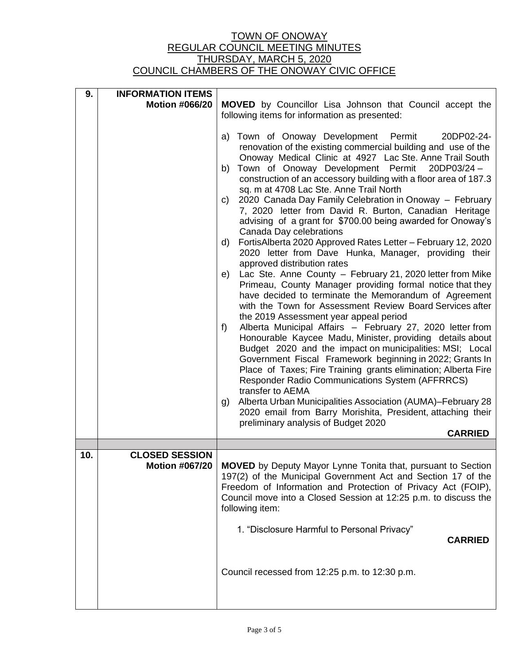| 9.  | <b>INFORMATION ITEMS</b>                       |                                                                                                                                                                                                                                                                                           |  |  |  |
|-----|------------------------------------------------|-------------------------------------------------------------------------------------------------------------------------------------------------------------------------------------------------------------------------------------------------------------------------------------------|--|--|--|
|     | <b>Motion #066/20</b>                          | <b>MOVED</b> by Councillor Lisa Johnson that Council accept the<br>following items for information as presented:                                                                                                                                                                          |  |  |  |
|     |                                                |                                                                                                                                                                                                                                                                                           |  |  |  |
|     |                                                | a) Town of Onoway Development Permit<br>20DP02-24-<br>renovation of the existing commercial building and use of the                                                                                                                                                                       |  |  |  |
|     |                                                | Onoway Medical Clinic at 4927 Lac Ste. Anne Trail South<br>Town of Onoway Development Permit<br>20DP03/24-<br>b)                                                                                                                                                                          |  |  |  |
|     |                                                | construction of an accessory building with a floor area of 187.3<br>sq. m at 4708 Lac Ste. Anne Trail North                                                                                                                                                                               |  |  |  |
|     |                                                | 2020 Canada Day Family Celebration in Onoway - February<br>C)<br>7, 2020 letter from David R. Burton, Canadian Heritage<br>advising of a grant for \$700.00 being awarded for Onoway's                                                                                                    |  |  |  |
|     |                                                | Canada Day celebrations                                                                                                                                                                                                                                                                   |  |  |  |
|     |                                                | FortisAlberta 2020 Approved Rates Letter - February 12, 2020<br>d)<br>2020 letter from Dave Hunka, Manager, providing their<br>approved distribution rates                                                                                                                                |  |  |  |
|     |                                                | Lac Ste. Anne County - February 21, 2020 letter from Mike<br>e)                                                                                                                                                                                                                           |  |  |  |
|     |                                                | Primeau, County Manager providing formal notice that they<br>have decided to terminate the Memorandum of Agreement<br>with the Town for Assessment Review Board Services after<br>the 2019 Assessment year appeal period                                                                  |  |  |  |
|     |                                                | Alberta Municipal Affairs - February 27, 2020 letter from<br>$f$ )<br>Honourable Kaycee Madu, Minister, providing details about<br>Budget 2020 and the impact on municipalities: MSI; Local                                                                                               |  |  |  |
|     |                                                | Government Fiscal Framework beginning in 2022; Grants In<br>Place of Taxes; Fire Training grants elimination; Alberta Fire<br>Responder Radio Communications System (AFFRRCS)<br>transfer to AEMA                                                                                         |  |  |  |
|     |                                                | Alberta Urban Municipalities Association (AUMA)-February 28<br>g)<br>2020 email from Barry Morishita, President, attaching their<br>preliminary analysis of Budget 2020                                                                                                                   |  |  |  |
|     |                                                | <b>CARRIED</b>                                                                                                                                                                                                                                                                            |  |  |  |
|     |                                                |                                                                                                                                                                                                                                                                                           |  |  |  |
| 10. | <b>CLOSED SESSION</b><br><b>Motion #067/20</b> | <b>MOVED</b> by Deputy Mayor Lynne Tonita that, pursuant to Section<br>197(2) of the Municipal Government Act and Section 17 of the<br>Freedom of Information and Protection of Privacy Act (FOIP),<br>Council move into a Closed Session at 12:25 p.m. to discuss the<br>following item: |  |  |  |
|     |                                                | 1. "Disclosure Harmful to Personal Privacy"<br><b>CARRIED</b>                                                                                                                                                                                                                             |  |  |  |
|     |                                                | Council recessed from 12:25 p.m. to 12:30 p.m.                                                                                                                                                                                                                                            |  |  |  |
|     |                                                |                                                                                                                                                                                                                                                                                           |  |  |  |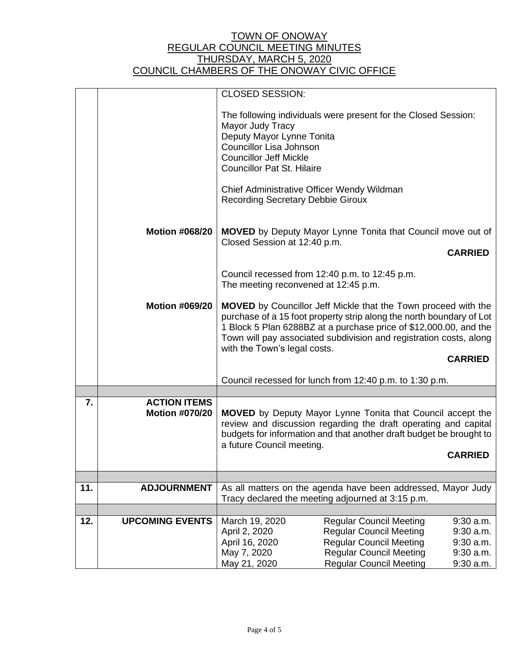|     |                        | <b>CLOSED SESSION:</b>                                                                                                                                                                                                                                                                                                                     |                                                              |             |
|-----|------------------------|--------------------------------------------------------------------------------------------------------------------------------------------------------------------------------------------------------------------------------------------------------------------------------------------------------------------------------------------|--------------------------------------------------------------|-------------|
|     |                        | The following individuals were present for the Closed Session:<br>Mayor Judy Tracy<br>Deputy Mayor Lynne Tonita<br><b>Councillor Lisa Johnson</b>                                                                                                                                                                                          |                                                              |             |
|     |                        | <b>Councillor Jeff Mickle</b><br><b>Councillor Pat St. Hilaire</b>                                                                                                                                                                                                                                                                         |                                                              |             |
|     |                        | Chief Administrative Officer Wendy Wildman<br><b>Recording Secretary Debbie Giroux</b>                                                                                                                                                                                                                                                     |                                                              |             |
|     | <b>Motion #068/20</b>  | <b>MOVED</b> by Deputy Mayor Lynne Tonita that Council move out of<br>Closed Session at 12:40 p.m.                                                                                                                                                                                                                                         |                                                              |             |
|     |                        | <b>CARRIED</b>                                                                                                                                                                                                                                                                                                                             |                                                              |             |
|     |                        | Council recessed from 12:40 p.m. to 12:45 p.m.<br>The meeting reconvened at 12:45 p.m.                                                                                                                                                                                                                                                     |                                                              |             |
|     | <b>Motion #069/20</b>  | <b>MOVED</b> by Councillor Jeff Mickle that the Town proceed with the<br>purchase of a 15 foot property strip along the north boundary of Lot<br>1 Block 5 Plan 6288BZ at a purchase price of \$12,000.00, and the<br>Town will pay associated subdivision and registration costs, along<br>with the Town's legal costs.<br><b>CARRIED</b> |                                                              |             |
|     |                        |                                                                                                                                                                                                                                                                                                                                            |                                                              |             |
|     |                        | Council recessed for lunch from 12:40 p.m. to 1:30 p.m.                                                                                                                                                                                                                                                                                    |                                                              |             |
| 7.  | <b>ACTION ITEMS</b>    |                                                                                                                                                                                                                                                                                                                                            |                                                              |             |
|     | <b>Motion #070/20</b>  | <b>MOVED</b> by Deputy Mayor Lynne Tonita that Council accept the<br>review and discussion regarding the draft operating and capital<br>budgets for information and that another draft budget be brought to<br>a future Council meeting.                                                                                                   |                                                              |             |
|     |                        | <b>CARRIED</b>                                                                                                                                                                                                                                                                                                                             |                                                              |             |
|     |                        |                                                                                                                                                                                                                                                                                                                                            |                                                              |             |
| 11. | <b>ADJOURNMENT</b>     |                                                                                                                                                                                                                                                                                                                                            | As all matters on the agenda have been addressed, Mayor Judy |             |
|     |                        | Tracy declared the meeting adjourned at 3:15 p.m.                                                                                                                                                                                                                                                                                          |                                                              |             |
| 12. | <b>UPCOMING EVENTS</b> | March 19, 2020                                                                                                                                                                                                                                                                                                                             | <b>Regular Council Meeting</b>                               | $9:30$ a.m. |
|     |                        | April 2, 2020                                                                                                                                                                                                                                                                                                                              | <b>Regular Council Meeting</b>                               | $9:30$ a.m. |
|     |                        | April 16, 2020                                                                                                                                                                                                                                                                                                                             | <b>Regular Council Meeting</b>                               | $9:30$ a.m. |
|     |                        | May 7, 2020                                                                                                                                                                                                                                                                                                                                | <b>Regular Council Meeting</b>                               | $9:30$ a.m. |
|     |                        | May 21, 2020                                                                                                                                                                                                                                                                                                                               | <b>Regular Council Meeting</b>                               | $9:30$ a.m. |